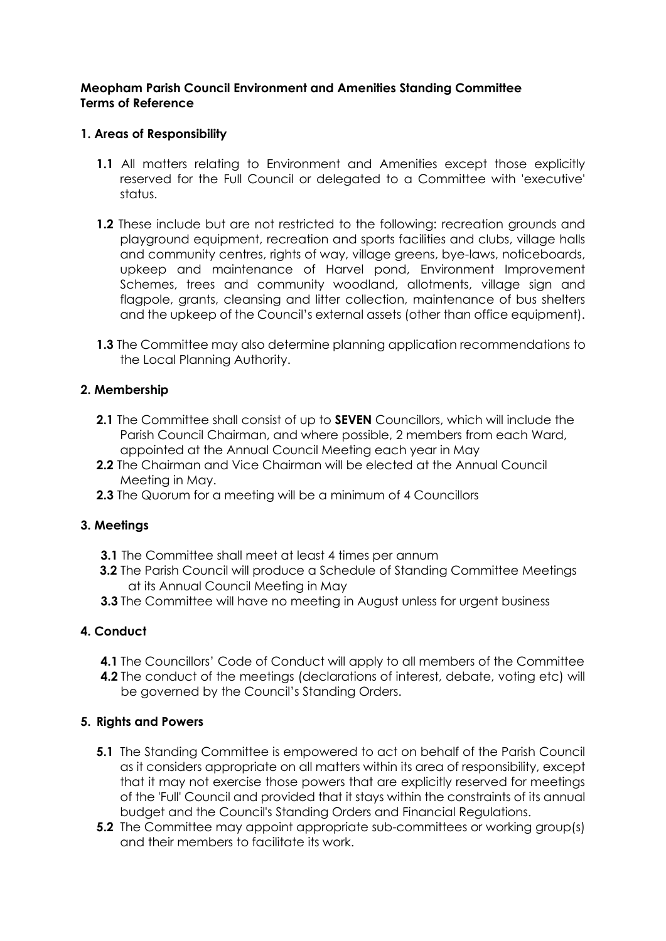## **Meopham Parish Council Environment and Amenities Standing Committee Terms of Reference**

# **1. Areas of Responsibility**

- **1.1** All matters relating to Environment and Amenities except those explicitly reserved for the Full Council or delegated to a Committee with 'executive' status.
- **1.2** These include but are not restricted to the following: recreation grounds and playground equipment, recreation and sports facilities and clubs, village halls and community centres, rights of way, village greens, bye-laws, noticeboards, upkeep and maintenance of Harvel pond, Environment Improvement Schemes, trees and community woodland, allotments, village sign and flagpole, grants, cleansing and litter collection, maintenance of bus shelters and the upkeep of the Council's external assets (other than office equipment).
- **1.3** The Committee may also determine planning application recommendations to the Local Planning Authority.

## **2. Membership**

- **2.1** The Committee shall consist of up to **SEVEN** Councillors, which will include the Parish Council Chairman, and where possible, 2 members from each Ward, appointed at the Annual Council Meeting each year in May
- **2.2** The Chairman and Vice Chairman will be elected at the Annual Council Meeting in May.
- **2.3** The Quorum for a meeting will be a minimum of 4 Councillors

## **3. Meetings**

- **3.1** The Committee shall meet at least 4 times per annum
- **3.2** The Parish Council will produce a Schedule of Standing Committee Meetings at its Annual Council Meeting in May
- **3.3** The Committee will have no meeting in August unless for urgent business

## **4. Conduct**

- **4.1** The Councillors' Code of Conduct will apply to all members of the Committee
- **4.2** The conduct of the meetings (declarations of interest, debate, voting etc) will be governed by the Council's Standing Orders.

## **5. Rights and Powers**

- **5.1** The Standing Committee is empowered to act on behalf of the Parish Council as it considers appropriate on all matters within its area of responsibility, except that it may not exercise those powers that are explicitly reserved for meetings of the 'Full' Council and provided that it stays within the constraints of its annual budget and the Council's Standing Orders and Financial Regulations.
- **5.2** The Committee may appoint appropriate sub-committees or working group(s) and their members to facilitate its work.